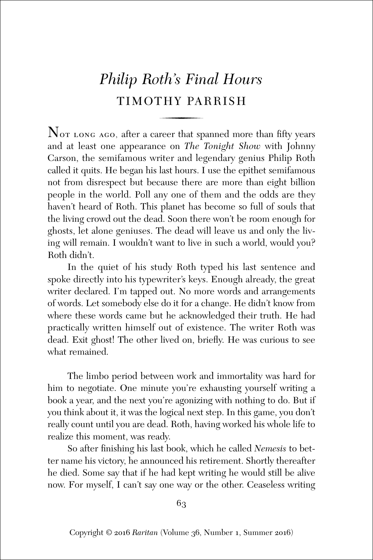# *Philip Roth's Final Hours* TIMOTHY PARRISH

 $\overline{N}_{\text{OT LONG AGO}}$ , after a career that spanned more than fifty years and at least one appearance on *The Tonight Show* with Johnny Carson, the semifamous writer and legendary genius Philip Roth called it quits. He began his last hours. I use the epithet semifamous not from disrespect but because there are more than eight billion people in the world. Poll any one of them and the odds are they haven't heard of Roth. This planet has become so full of souls that the living crowd out the dead. Soon there won't be room enough for ghosts, let alone geniuses. The dead will leave us and only the living will remain. I wouldn't want to live in such a world, would you? Roth didn't.

In the quiet of his study Roth typed his last sentence and spoke directly into his typewriter's keys. Enough already, the great writer declared. I'm tapped out. No more words and arrangements of words. Let somebody else do it for a change. He didn't know from where these words came but he acknowledged their truth. He had practically written himself out of existence. The writer Roth was dead. Exit ghost! The other lived on, briefly. He was curious to see what remained.

The limbo period between work and immortality was hard for him to negotiate. One minute you're exhausting yourself writing a book a year, and the next you're agonizing with nothing to do. But if you think about it, it was the logical next step. In this game, you don't really count until you are dead. Roth, having worked his whole life to realize this moment, was ready.

So after finishing his last book, which he called *Nemesis* to better name his victory, he announced his retirement. Shortly thereafter he died. Some say that if he had kept writing he would still be alive now. For myself, I can't say one way or the other. Ceaseless writing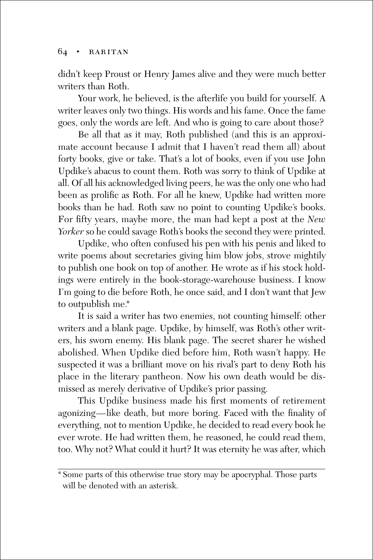didn't keep Proust or Henry James alive and they were much better writers than Roth.

Your work, he believed, is the afterlife you build for yourself. A writer leaves only two things. His words and his fame. Once the fame goes, only the words are left. And who is going to care about those?

Be all that as it may, Roth published (and this is an approximate account because I admit that I haven't read them all) about forty books, give or take. That's a lot of books, even if you use John Updike's abacus to count them. Roth was sorry to think of Updike at all. Of all his acknowledged living peers, he was the only one who had been as prolific as Roth. For all he knew, Updike had written more books than he had. Roth saw no point to counting Updike's books. For fifty years, maybe more, the man had kept a post at the *New Yorker* so he could savage Roth's books the second they were printed.

Updike, who often confused his pen with his penis and liked to write poems about secretaries giving him blow jobs, strove mightily to publish one book on top of another. He wrote as if his stock holdings were entirely in the book-storage-warehouse business. I know I'm going to die before Roth, he once said, and I don't want that Jew to outpublish me.\*

It is said a writer has two enemies, not counting himself: other writers and a blank page. Updike, by himself, was Roth's other writers, his sworn enemy. His blank page. The secret sharer he wished abolished. When Updike died before him, Roth wasn't happy. He suspected it was a brilliant move on his rival's part to deny Roth his place in the literary pantheon. Now his own death would be dismissed as merely derivative of Updike's prior passing.

This Updike business made his first moments of retirement agonizing—like death, but more boring. Faced with the finality of everything, not to mention Updike, he decided to read every book he ever wrote. He had written them, he reasoned, he could read them, too. Why not? What could it hurt? It was eternity he was after, which

<sup>\*</sup> Some parts of this otherwise true story may be apocryphal. Those parts will be denoted with an asterisk.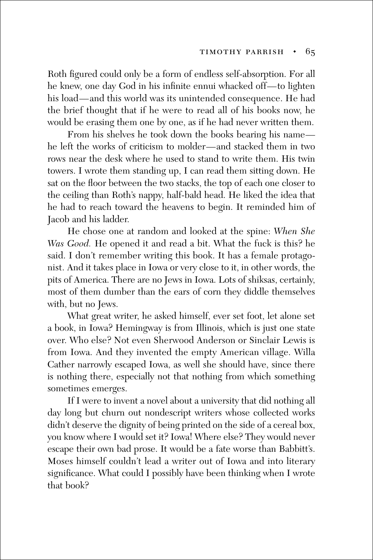Roth figured could only be a form of endless self-absorption. For all he knew, one day God in his infinite ennui whacked off—to lighten his load—and this world was its unintended consequence. He had the brief thought that if he were to read all of his books now, he would be erasing them one by one, as if he had never written them.

From his shelves he took down the books bearing his name he left the works of criticism to molder—and stacked them in two rows near the desk where he used to stand to write them. His twin towers. I wrote them standing up, I can read them sitting down. He sat on the floor between the two stacks, the top of each one closer to the ceiling than Roth's nappy, half-bald head. He liked the idea that he had to reach toward the heavens to begin. It reminded him of Jacob and his ladder.

He chose one at random and looked at the spine: *When She Was Good.* He opened it and read a bit. What the fuck is this? he said. I don't remember writing this book. It has a female protagonist. And it takes place in Iowa or very close to it, in other words, the pits of America. There are no Jews in Iowa. Lots of shiksas, certainly, most of them dumber than the ears of corn they diddle themselves with, but no Jews.

What great writer, he asked himself, ever set foot, let alone set a book, in Iowa? Hemingway is from Illinois, which is just one state over. Who else? Not even Sherwood Anderson or Sinclair Lewis is from Iowa. And they invented the empty American village. Willa Cather narrowly escaped Iowa, as well she should have, since there is nothing there, especially not that nothing from which something sometimes emerges.

If I were to invent a novel about a university that did nothing all day long but churn out nondescript writers whose collected works didn't deserve the dignity of being printed on the side of a cereal box, you know where I would set it? Iowa! Where else? They would never escape their own bad prose. It would be a fate worse than Babbitt's. Moses himself couldn't lead a writer out of Iowa and into literary significance. What could I possibly have been thinking when I wrote that book?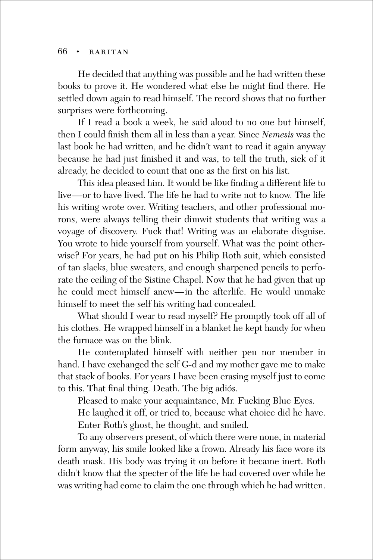He decided that anything was possible and he had written these books to prove it. He wondered what else he might find there. He settled down again to read himself. The record shows that no further surprises were forthcoming.

If I read a book a week, he said aloud to no one but himself, then I could finish them all in less than a year. Since *Nemesis* was the last book he had written, and he didn't want to read it again anyway because he had just finished it and was, to tell the truth, sick of it already, he decided to count that one as the first on his list.

This idea pleased him. It would be like finding a different life to live—or to have lived. The life he had to write not to know. The life his writing wrote over. Writing teachers, and other professional morons, were always telling their dimwit students that writing was a voyage of discovery. Fuck that! Writing was an elaborate disguise. You wrote to hide yourself from yourself. What was the point otherwise? For years, he had put on his Philip Roth suit, which consisted of tan slacks, blue sweaters, and enough sharpened pencils to perforate the ceiling of the Sistine Chapel. Now that he had given that up he could meet himself anew—in the afterlife. He would unmake himself to meet the self his writing had concealed.

What should I wear to read myself? He promptly took off all of his clothes. He wrapped himself in a blanket he kept handy for when the furnace was on the blink.

He contemplated himself with neither pen nor member in hand. I have exchanged the self G-d and my mother gave me to make that stack of books. For years I have been erasing myself just to come to this. That final thing. Death. The big adiós.

Pleased to make your acquaintance, Mr. Fucking Blue Eyes.

He laughed it off, or tried to, because what choice did he have. Enter Roth's ghost, he thought, and smiled.

To any observers present, of which there were none, in material form anyway, his smile looked like a frown. Already his face wore its death mask. His body was trying it on before it became inert. Roth didn't know that the specter of the life he had covered over while he was writing had come to claim the one through which he had written.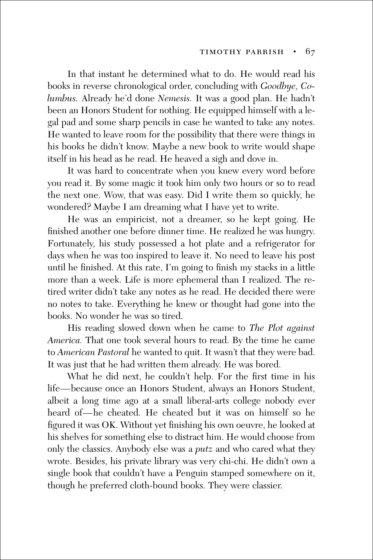In that instant he determined what to do. He would read his books in reverse chronological order, concluding with *Goodbye, Columbus.* Already he'd done *Nemesis.* It was a good plan. He hadn't been an Honors Student for nothing. He equipped himself with a legal pad and some sharp pencils in case he wanted to take any notes. He wanted to leave room for the possibility that there were things in his books he didn't know. Maybe a new book to write would shape itself in his head as he read. He heaved a sigh and dove in.

It was hard to concentrate when you knew every word before you read it. By some magic it took him only two hours or so to read the next one. Wow, that was easy. Did I write them so quickly, he wondered? Maybe I am dreaming what I have yet to write.

He was an empiricist, not a dreamer, so he kept going. He finished another one before dinner time. He realized he was hungry. Fortunately, his study possessed a hot plate and a refrigerator for days when he was too inspired to leave it. No need to leave his post until he finished. At this rate, I'm going to finish my stacks in a little more than a week. Life is more ephemeral than I realized. The retired writer didn't take any notes as he read. He decided there were no notes to take. Everything he knew or thought had gone into the books. No wonder he was so tired.

His reading slowed down when he came to *The Plot against America.* That one took several hours to read. By the time he came to *American Pastoral* he wanted to quit. It wasn't that they were bad. It was just that he had written them already. He was bored.

What he did next, he couldn't help. For the first time in his life—because once an Honors Student, always an Honors Student, albeit a long time ago at a small liberal-arts college nobody ever heard of—he cheated. He cheated but it was on himself so he figured it was OK. Without yet finishing his own oeuvre, he looked at his shelves for something else to distract him. He would choose from only the classics. Anybody else was a *putz* and who cared what they wrote. Besides, his private library was very chi-chi. He didn't own a single book that couldn't have a Penguin stamped somewhere on it, though he preferred cloth-bound books. They were classier.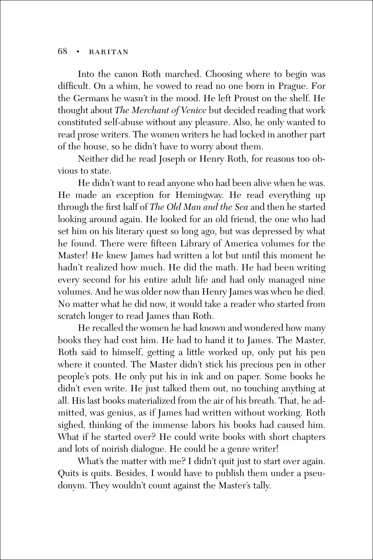Into the canon Roth marched. Choosing where to begin was difficult. On a whim, he vowed to read no one born in Prague. For the Germans he wasn't in the mood. He left Proust on the shelf. He thought about *The Merchant of Venice* but decided reading that work constituted self-abuse without any pleasure. Also, he only wanted to read prose writers. The women writers he had locked in another part of the house, so he didn't have to worry about them.

Neither did he read Joseph or Henry Roth, for reasons too obvious to state.

He didn't want to read anyone who had been alive when he was. He made an exception for Hemingway. He read everything up through the first half of *The Old Man and the Sea* and then he started looking around again. He looked for an old friend, the one who had set him on his literary quest so long ago, but was depressed by what he found. There were fifteen Library of America volumes for the Master! He knew James had written a lot but until this moment he hadn't realized how much. He did the math. He had been writing every second for his entire adult life and had only managed nine volumes. And he was older now than Henry James was when he died. No matter what he did now, it would take a reader who started from scratch longer to read James than Roth.

He recalled the women he had known and wondered how many books they had cost him. He had to hand it to James. The Master, Roth said to himself, getting a little worked up, only put his pen where it counted. The Master didn't stick his precious pen in other people's pots. He only put his in ink and on paper. Some books he didn't even write. He just talked them out, no touching anything at all. His last books materialized from the air of his breath. That, he admitted, was genius, as if James had written without working. Roth sighed, thinking of the immense labors his books had caused him. What if he started over? He could write books with short chapters and lots of noirish dialogue. He could be a genre writer!

What's the matter with me? I didn't quit just to start over again. Quits is quits. Besides, I would have to publish them under a pseudonym. They wouldn't count against the Master's tally.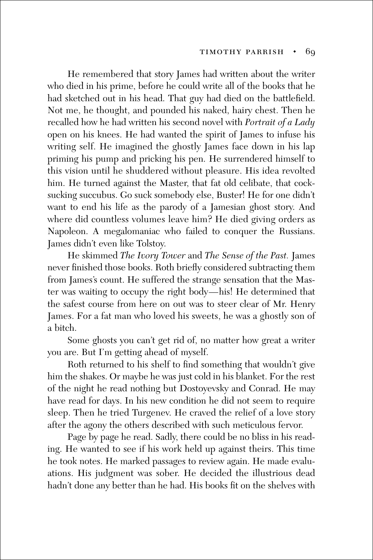He remembered that story James had written about the writer who died in his prime, before he could write all of the books that he had sketched out in his head. That guy had died on the battlefield. Not me, he thought, and pounded his naked, hairy chest. Then he recalled how he had written his second novel with *Portrait of a Lady* open on his knees. He had wanted the spirit of James to infuse his writing self. He imagined the ghostly James face down in his lap priming his pump and pricking his pen. He surrendered himself to this vision until he shuddered without pleasure. His idea revolted him. He turned against the Master, that fat old celibate, that cocksucking succubus. Go suck somebody else, Buster! He for one didn't want to end his life as the parody of a Jamesian ghost story. And where did countless volumes leave him? He died giving orders as Napoleon. A megalomaniac who failed to conquer the Russians. James didn't even like Tolstoy.

He skimmed *The Ivory Tower* and *The Sense of the Past.* James never finished those books. Roth briefly considered subtracting them from James's count. He suffered the strange sensation that the Master was waiting to occupy the right body—his! He determined that the safest course from here on out was to steer clear of Mr. Henry James. For a fat man who loved his sweets, he was a ghostly son of a bitch.

Some ghosts you can't get rid of, no matter how great a writer you are. But I'm getting ahead of myself.

Roth returned to his shelf to find something that wouldn't give him the shakes. Or maybe he was just cold in his blanket. For the rest of the night he read nothing but Dostoyevsky and Conrad. He may have read for days. In his new condition he did not seem to require sleep. Then he tried Turgenev. He craved the relief of a love story after the agony the others described with such meticulous fervor.

Page by page he read. Sadly, there could be no bliss in his reading. He wanted to see if his work held up against theirs. This time he took notes. He marked passages to review again. He made evaluations. His judgment was sober. He decided the illustrious dead hadn't done any better than he had. His books fit on the shelves with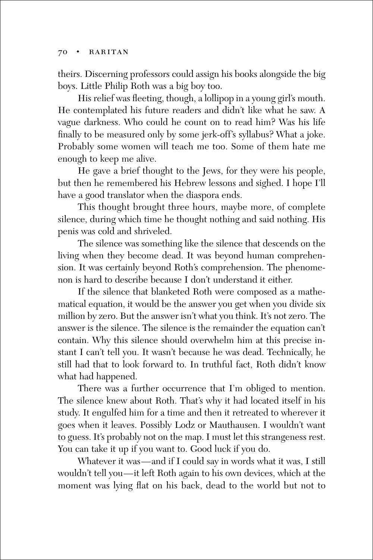theirs. Discerning professors could assign his books alongside the big boys. Little Philip Roth was a big boy too.

His relief was fleeting, though, a lollipop in a young girl's mouth. He contemplated his future readers and didn't like what he saw. A vague darkness. Who could he count on to read him? Was his life finally to be measured only by some jerk-off's syllabus? What a joke. Probably some women will teach me too. Some of them hate me enough to keep me alive.

He gave a brief thought to the Jews, for they were his people, but then he remembered his Hebrew lessons and sighed. I hope I'll have a good translator when the diaspora ends.

This thought brought three hours, maybe more, of complete silence, during which time he thought nothing and said nothing. His penis was cold and shriveled.

The silence was something like the silence that descends on the living when they become dead. It was beyond human comprehension. It was certainly beyond Roth's comprehension. The phenomenon is hard to describe because I don't understand it either.

If the silence that blanketed Roth were composed as a mathematical equation, it would be the answer you get when you divide six million by zero. But the answer isn't what you think. It's not zero. The answer is the silence. The silence is the remainder the equation can't contain. Why this silence should overwhelm him at this precise instant I can't tell you. It wasn't because he was dead. Technically, he still had that to look forward to. In truthful fact, Roth didn't know what had happened.

There was a further occurrence that I'm obliged to mention. The silence knew about Roth. That's why it had located itself in his study. It engulfed him for a time and then it retreated to wherever it goes when it leaves. Possibly Lodz or Mauthausen. I wouldn't want to guess. It's probably not on the map. I must let this strangeness rest. You can take it up if you want to. Good luck if you do.

Whatever it was—and if I could say in words what it was, I still wouldn't tell you—it left Roth again to his own devices, which at the moment was lying flat on his back, dead to the world but not to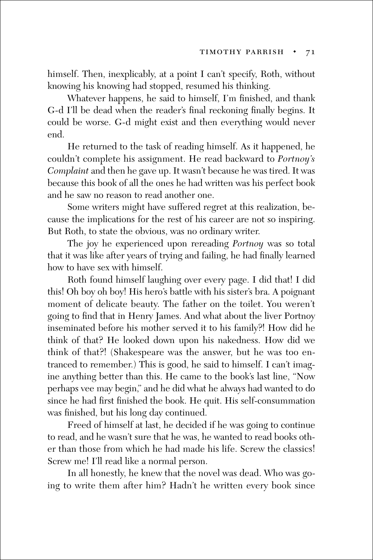himself. Then, inexplicably, at a point I can't specify, Roth, without knowing his knowing had stopped, resumed his thinking.

Whatever happens, he said to himself, I'm finished, and thank G-d I'll be dead when the reader's final reckoning finally begins. It could be worse. G-d might exist and then everything would never end.

He returned to the task of reading himself. As it happened, he couldn't complete his assignment. He read backward to *Portnoy's Complaint* and then he gave up. It wasn't because he was tired. It was because this book of all the ones he had written was his perfect book and he saw no reason to read another one.

Some writers might have suffered regret at this realization, because the implications for the rest of his career are not so inspiring. But Roth, to state the obvious, was no ordinary writer.

The joy he experienced upon rereading *Portnoy* was so total that it was like after years of trying and failing, he had finally learned how to have sex with himself.

Roth found himself laughing over every page. I did that! I did this! Oh boy oh boy! His hero's battle with his sister's bra. A poignant moment of delicate beauty. The father on the toilet. You weren't going to find that in Henry James. And what about the liver Portnoy inseminated before his mother served it to his family?! How did he think of that? He looked down upon his nakedness. How did we think of that?! (Shakespeare was the answer, but he was too entranced to remember.) This is good, he said to himself. I can't imagine anything better than this. He came to the book's last line, "Now perhaps vee may begin," and he did what he always had wanted to do since he had first finished the book. He quit. His self-consummation was finished, but his long day continued.

Freed of himself at last, he decided if he was going to continue to read, and he wasn't sure that he was, he wanted to read books other than those from which he had made his life. Screw the classics! Screw me! I'll read like a normal person.

In all honestly, he knew that the novel was dead. Who was going to write them after him? Hadn't he written every book since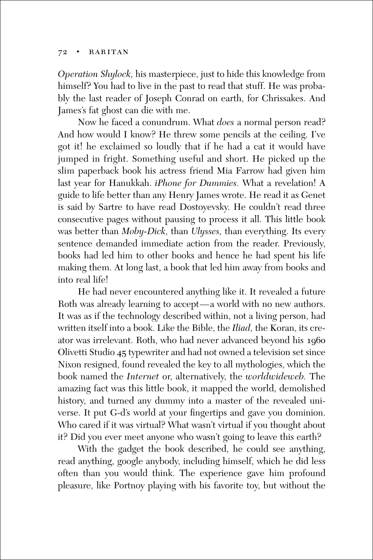*Operation Shylock,* his masterpiece, just to hide this knowledge from himself? You had to live in the past to read that stuff. He was probably the last reader of Joseph Conrad on earth, for Chrissakes. And James's fat ghost can die with me.

Now he faced a conundrum. What *does* a normal person read? And how would I know? He threw some pencils at the ceiling. I've got it! he exclaimed so loudly that if he had a cat it would have jumped in fright. Something useful and short. He picked up the slim paperback book his actress friend Mia Farrow had given him last year for Hanukkah. *iPhone for Dummies.* What a revelation! A guide to life better than any Henry James wrote. He read it as Genet is said by Sartre to have read Dostoyevsky. He couldn't read three consecutive pages without pausing to process it all. This little book was better than *Moby-Dick,* than *Ulysses,* than everything. Its every sentence demanded immediate action from the reader. Previously, books had led him to other books and hence he had spent his life making them. At long last, a book that led him away from books and into real life!

He had never encountered anything like it. It revealed a future Roth was already learning to accept—a world with no new authors. It was as if the technology described within, not a living person, had written itself into a book. Like the Bible, the *Iliad,* the Koran, its creator was irrelevant. Roth, who had never advanced beyond his 1960 Olivetti Studio 45 typewriter and had not owned a television set since Nixon resigned, found revealed the key to all mythologies, which the book named the *Internet* or, alternatively, the *worldwideweb.* The amazing fact was this little book, it mapped the world, demolished history, and turned any dummy into a master of the revealed universe. It put G-d's world at your fingertips and gave you dominion. Who cared if it was virtual? What wasn't virtual if you thought about it? Did you ever meet anyone who wasn't going to leave this earth?

With the gadget the book described, he could see anything, read anything, google anybody, including himself, which he did less often than you would think. The experience gave him profound pleasure, like Portnoy playing with his favorite toy, but without the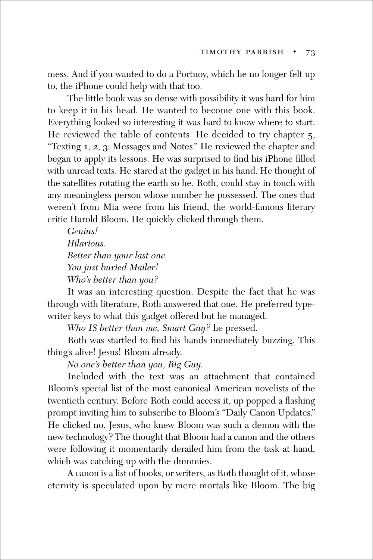mess. And if you wanted to do a Portnoy, which he no longer felt up to, the iPhone could help with that too.

The little book was so dense with possibility it was hard for him to keep it in his head. He wanted to become one with this book. Everything looked so interesting it was hard to know where to start. He reviewed the table of contents. He decided to try chapter 5, "Texting 1, 2, 3: Messages and Notes." He reviewed the chapter and began to apply its lessons. He was surprised to find his iPhone filled with unread texts. He stared at the gadget in his hand. He thought of the satellites rotating the earth so he, Roth, could stay in touch with any meaningless person whose number he possessed. The ones that weren't from Mia were from his friend, the world-famous literary critic Harold Bloom. He quickly clicked through them.

*Genius! Hilarious. Better than your last one. You just buried Mailer! Who's better than you?*

It was an interesting question. Despite the fact that he was through with literature, Roth answered that one. He preferred typewriter keys to what this gadget offered but he managed.

*Who IS better than me, Smart Guy?* he pressed.

Roth was startled to find his hands immediately buzzing. This thing's alive! Jesus! Bloom already.

*No one's better than you, Big Guy.*

Included with the text was an attachment that contained Bloom's special list of the most canonical American novelists of the twentieth century. Before Roth could access it, up popped a flashing prompt inviting him to subscribe to Bloom's "Daily Canon Updates." He clicked no. Jesus, who knew Bloom was such a demon with the new technology? The thought that Bloom had a canon and the others were following it momentarily derailed him from the task at hand, which was catching up with the dummies.

A canon is a list of books, or writers, as Roth thought of it, whose eternity is speculated upon by mere mortals like Bloom. The big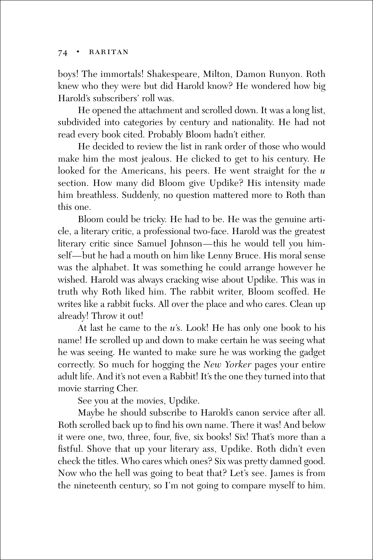boys! The immortals! Shakespeare, Milton, Damon Runyon. Roth knew who they were but did Harold know? He wondered how big Harold's subscribers' roll was.

He opened the attachment and scrolled down. It was a long list, subdivided into categories by century and nationality. He had not read every book cited. Probably Bloom hadn't either.

He decided to review the list in rank order of those who would make him the most jealous. He clicked to get to his century. He looked for the Americans, his peers. He went straight for the *u* section. How many did Bloom give Updike? His intensity made him breathless. Suddenly, no question mattered more to Roth than this one.

Bloom could be tricky. He had to be. He was the genuine article, a literary critic, a professional two-face. Harold was the greatest literary critic since Samuel Johnson—this he would tell you himself—but he had a mouth on him like Lenny Bruce. His moral sense was the alphabet. It was something he could arrange however he wished. Harold was always cracking wise about Updike. This was in truth why Roth liked him. The rabbit writer, Bloom scoffed. He writes like a rabbit fucks. All over the place and who cares. Clean up already! Throw it out!

At last he came to the *u*'s. Look! He has only one book to his name! He scrolled up and down to make certain he was seeing what he was seeing. He wanted to make sure he was working the gadget correctly. So much for hogging the *New Yorker* pages your entire adult life. And it's not even a Rabbit! It's the one they turned into that movie starring Cher.

See you at the movies, Updike.

Maybe he should subscribe to Harold's canon service after all. Roth scrolled back up to find his own name. There it was! And below it were one, two, three, four, five, six books! Six! That's more than a fistful. Shove that up your literary ass, Updike. Roth didn't even check the titles. Who cares which ones? Six was pretty damned good. Now who the hell was going to beat that? Let's see. James is from the nineteenth century, so I'm not going to compare myself to him.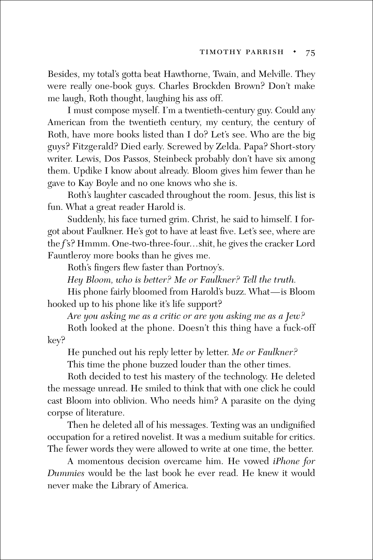Besides, my total's gotta beat Hawthorne, Twain, and Melville. They were really one-book guys. Charles Brockden Brown? Don't make me laugh, Roth thought, laughing his ass off.

I must compose myself. I'm a twentieth-century guy. Could any American from the twentieth century, my century, the century of Roth, have more books listed than I do? Let's see. Who are the big guys? Fitzgerald? Died early. Screwed by Zelda. Papa? Short-story writer. Lewis, Dos Passos, Steinbeck probably don't have six among them. Updike I know about already. Bloom gives him fewer than he gave to Kay Boyle and no one knows who she is.

Roth's laughter cascaded throughout the room. Jesus, this list is fun. What a great reader Harold is.

Suddenly, his face turned grim. Christ, he said to himself. I forgot about Faulkner. He's got to have at least five. Let's see, where are the *f*'s? Hmmm. One-two-three-four...shit, he gives the cracker Lord Fauntleroy more books than he gives me.

Roth's fingers flew faster than Portnoy's.

*Hey Bloom, who is better? Me or Faulkner? Tell the truth.*

His phone fairly bloomed from Harold's buzz. What—is Bloom hooked up to his phone like it's life support?

*Are you asking me as a critic or are you asking me as a Jew?*

Roth looked at the phone. Doesn't this thing have a fuck-off key?

He punched out his reply letter by letter. *Me or Faulkner?*

This time the phone buzzed louder than the other times.

Roth decided to test his mastery of the technology. He deleted the message unread. He smiled to think that with one click he could cast Bloom into oblivion. Who needs him? A parasite on the dying corpse of literature.

Then he deleted all of his messages. Texting was an undignified occupation for a retired novelist. It was a medium suitable for critics. The fewer words they were allowed to write at one time, the better.

A momentous decision overcame him. He vowed *iPhone for Dummies* would be the last book he ever read. He knew it would never make the Library of America.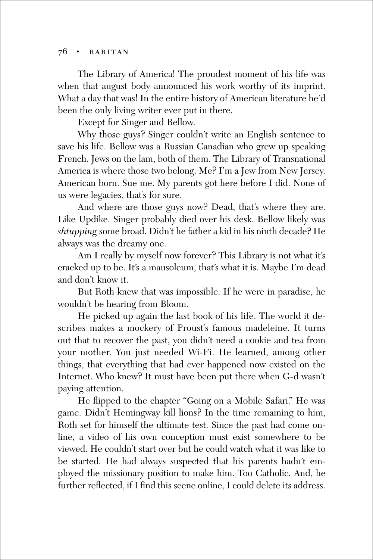The Library of America! The proudest moment of his life was when that august body announced his work worthy of its imprint. What a day that was! In the entire history of American literature he'd been the only living writer ever put in there.

Except for Singer and Bellow.

Why those guys? Singer couldn't write an English sentence to save his life. Bellow was a Russian Canadian who grew up speaking French. Jews on the lam, both of them. The Library of Transnational America is where those two belong. Me? I'm a Jew from New Jersey. American born. Sue me. My parents got here before I did. None of us were legacies, that's for sure.

And where are those guys now? Dead, that's where they are. Like Updike. Singer probably died over his desk. Bellow likely was *shtupping* some broad. Didn't he father a kid in his ninth decade? He always was the dreamy one.

Am I really by myself now forever? This Library is not what it's cracked up to be. It's a mausoleum, that's what it is. Maybe I'm dead and don't know it.

But Roth knew that was impossible. If he were in paradise, he wouldn't be hearing from Bloom.

He picked up again the last book of his life. The world it describes makes a mockery of Proust's famous madeleine. It turns out that to recover the past, you didn't need a cookie and tea from your mother. You just needed Wi-Fi. He learned, among other things, that everything that had ever happened now existed on the Internet. Who knew? It must have been put there when G-d wasn't paying attention.

He flipped to the chapter "Going on a Mobile Safari." He was game. Didn't Hemingway kill lions? In the time remaining to him, Roth set for himself the ultimate test. Since the past had come online, a video of his own conception must exist somewhere to be viewed. He couldn't start over but he could watch what it was like to be started. He had always suspected that his parents hadn't employed the missionary position to make him. Too Catholic. And, he further reflected, if I find this scene online, I could delete its address.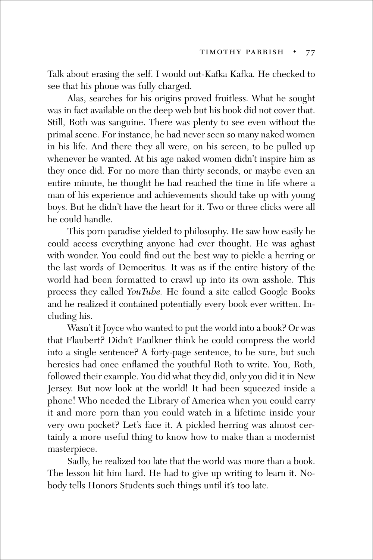Talk about erasing the self. I would out-Kafka Kafka. He checked to see that his phone was fully charged.

Alas, searches for his origins proved fruitless. What he sought was in fact available on the deep web but his book did not cover that. Still, Roth was sanguine. There was plenty to see even without the primal scene. For instance, he had never seen so many naked women in his life. And there they all were, on his screen, to be pulled up whenever he wanted. At his age naked women didn't inspire him as they once did. For no more than thirty seconds, or maybe even an entire minute, he thought he had reached the time in life where a man of his experience and achievements should take up with young boys. But he didn't have the heart for it. Two or three clicks were all he could handle.

This porn paradise yielded to philosophy. He saw how easily he could access everything anyone had ever thought. He was aghast with wonder. You could find out the best way to pickle a herring or the last words of Democritus. It was as if the entire history of the world had been formatted to crawl up into its own asshole. This process they called *YouTube.* He found a site called Google Books and he realized it contained potentially every book ever written. Including his.

Wasn't it Joyce who wanted to put the world into a book? Or was that Flaubert? Didn't Faulkner think he could compress the world into a single sentence? A forty-page sentence, to be sure, but such heresies had once enflamed the youthful Roth to write. You, Roth, followed their example. You did what they did, only you did it in New Jersey. But now look at the world! It had been squeezed inside a phone! Who needed the Library of America when you could carry it and more porn than you could watch in a lifetime inside your very own pocket? Let's face it. A pickled herring was almost certainly a more useful thing to know how to make than a modernist masterpiece.

Sadly, he realized too late that the world was more than a book. The lesson hit him hard. He had to give up writing to learn it. Nobody tells Honors Students such things until it's too late.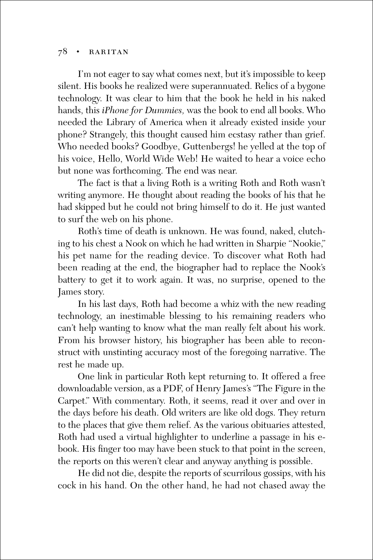I'm not eager to say what comes next, but it's impossible to keep silent. His books he realized were superannuated. Relics of a bygone technology. It was clear to him that the book he held in his naked hands, this *iPhone for Dummies,* was the book to end all books. Who needed the Library of America when it already existed inside your phone? Strangely, this thought caused him ecstasy rather than grief. Who needed books? Goodbye, Guttenbergs! he yelled at the top of his voice, Hello, World Wide Web! He waited to hear a voice echo but none was forthcoming. The end was near.

The fact is that a living Roth is a writing Roth and Roth wasn't writing anymore. He thought about reading the books of his that he had skipped but he could not bring himself to do it. He just wanted to surf the web on his phone.

Roth's time of death is unknown. He was found, naked, clutching to his chest a Nook on which he had written in Sharpie "Nookie," his pet name for the reading device. To discover what Roth had been reading at the end, the biographer had to replace the Nook's battery to get it to work again. It was, no surprise, opened to the James story.

In his last days, Roth had become a whiz with the new reading technology, an inestimable blessing to his remaining readers who can't help wanting to know what the man really felt about his work. From his browser history, his biographer has been able to reconstruct with unstinting accuracy most of the foregoing narrative. The rest he made up.

One link in particular Roth kept returning to. It offered a free downloadable version, as a PDF, of Henry James's "The Figure in the Carpet." With commentary. Roth, it seems, read it over and over in the days before his death. Old writers are like old dogs. They return to the places that give them relief. As the various obituaries attested, Roth had used a virtual highlighter to underline a passage in his ebook. His finger too may have been stuck to that point in the screen, the reports on this weren't clear and anyway anything is possible.

He did not die, despite the reports of scurrilous gossips, with his cock in his hand. On the other hand, he had not chased away the